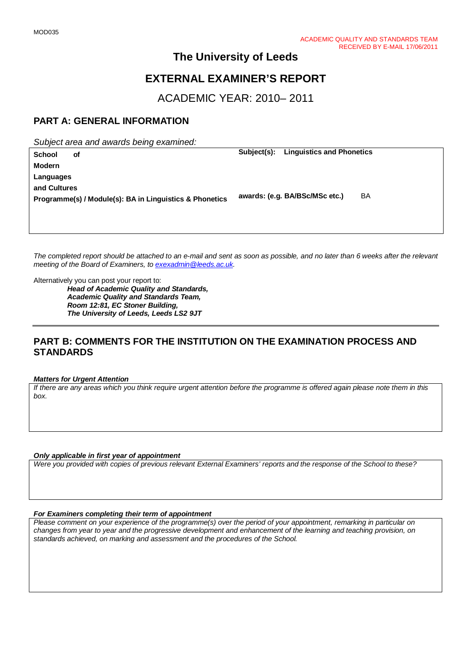# **The University of Leeds**

# **EXTERNAL EXAMINER'S REPORT**

ACADEMIC YEAR: 2010– 2011

## **PART A: GENERAL INFORMATION**

*Subject area and awards being examined:*

| <b>School</b>                                           | оf | Subject(s):                    | <b>Linguistics and Phonetics</b> |  |  |
|---------------------------------------------------------|----|--------------------------------|----------------------------------|--|--|
| Modern                                                  |    |                                |                                  |  |  |
| Languages                                               |    |                                |                                  |  |  |
| and Cultures                                            |    |                                |                                  |  |  |
| Programme(s) / Module(s): BA in Linguistics & Phonetics |    | awards: (e.g. BA/BSc/MSc etc.) | BA                               |  |  |
|                                                         |    |                                |                                  |  |  |

*The completed report should be attached to an e-mail and sent as soon as possible, and no later than 6 weeks after the relevant meeting of the Board of Examiners, to [exexadmin@leeds.ac.uk.](mailto:exexadmin@leeds.ac.uk)*

Alternatively you can post your report to:

*Head of Academic Quality and Standards, Academic Quality and Standards Team, Room 12:81, EC Stoner Building, The University of Leeds, Leeds LS2 9JT*

## **PART B: COMMENTS FOR THE INSTITUTION ON THE EXAMINATION PROCESS AND STANDARDS**

#### *Matters for Urgent Attention*

*If there are any areas which you think require urgent attention before the programme is offered again please note them in this box.*

#### *Only applicable in first year of appointment*

*Were you provided with copies of previous relevant External Examiners' reports and the response of the School to these?* 

#### *For Examiners completing their term of appointment*

*Please comment on your experience of the programme(s) over the period of your appointment, remarking in particular on changes from year to year and the progressive development and enhancement of the learning and teaching provision, on standards achieved, on marking and assessment and the procedures of the School.*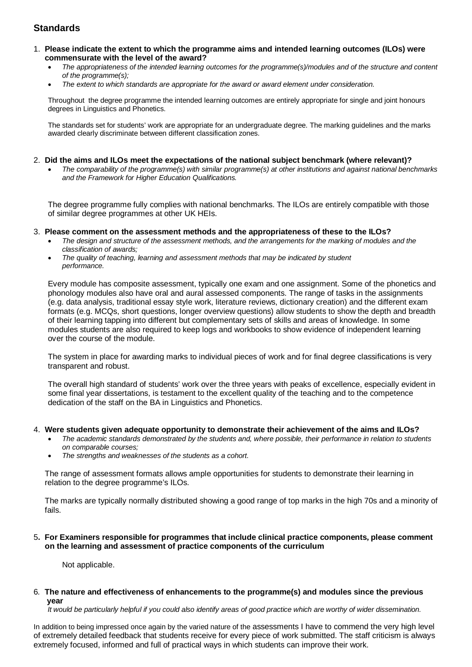## **Standards**

- 1. **Please indicate the extent to which the programme aims and intended learning outcomes (ILOs) were commensurate with the level of the award?**
	- *The appropriateness of the intended learning outcomes for the programme(s)/modules and of the structure and content of the programme(s);*
	- *The extent to which standards are appropriate for the award or award element under consideration.*

Throughout the degree programme the intended learning outcomes are entirely appropriate for single and joint honours degrees in Linguistics and Phonetics.

The standards set for students' work are appropriate for an undergraduate degree. The marking guidelines and the marks awarded clearly discriminate between different classification zones.

- 2. **Did the aims and ILOs meet the expectations of the national subject benchmark (where relevant)?**
	- *The comparability of the programme(s) with similar programme(s) at other institutions and against national benchmarks and the Framework for Higher Education Qualifications.*

The degree programme fully complies with national benchmarks. The ILOs are entirely compatible with those of similar degree programmes at other UK HEIs.

#### 3. **Please comment on the assessment methods and the appropriateness of these to the ILOs?**

- *The design and structure of the assessment methods, and the arrangements for the marking of modules and the classification of awards;*
- *The quality of teaching, learning and assessment methods that may be indicated by student performance.*

Every module has composite assessment, typically one exam and one assignment. Some of the phonetics and phonology modules also have oral and aural assessed components. The range of tasks in the assignments (e.g. data analysis, traditional essay style work, literature reviews, dictionary creation) and the different exam formats (e.g. MCQs, short questions, longer overview questions) allow students to show the depth and breadth of their learning tapping into different but complementary sets of skills and areas of knowledge. In some modules students are also required to keep logs and workbooks to show evidence of independent learning over the course of the module.

The system in place for awarding marks to individual pieces of work and for final degree classifications is very transparent and robust.

The overall high standard of students' work over the three years with peaks of excellence, especially evident in some final year dissertations, is testament to the excellent quality of the teaching and to the competence dedication of the staff on the BA in Linguistics and Phonetics.

#### 4. **Were students given adequate opportunity to demonstrate their achievement of the aims and ILOs?**

- *The academic standards demonstrated by the students and, where possible, their performance in relation to students on comparable courses;*
- *The strengths and weaknesses of the students as a cohort.*

The range of assessment formats allows ample opportunities for students to demonstrate their learning in relation to the degree programme's ILOs.

The marks are typically normally distributed showing a good range of top marks in the high 70s and a minority of fails.

#### 5**. For Examiners responsible for programmes that include clinical practice components, please comment on the learning and assessment of practice components of the curriculum**

Not applicable.

6*.* **The nature and effectiveness of enhancements to the programme(s) and modules since the previous year**

 *It would be particularly helpful if you could also identify areas of good practice which are worthy of wider dissemination.* 

In addition to being impressed once again by the varied nature of the assessments I have to commend the very high level of extremely detailed feedback that students receive for every piece of work submitted. The staff criticism is always extremely focused, informed and full of practical ways in which students can improve their work.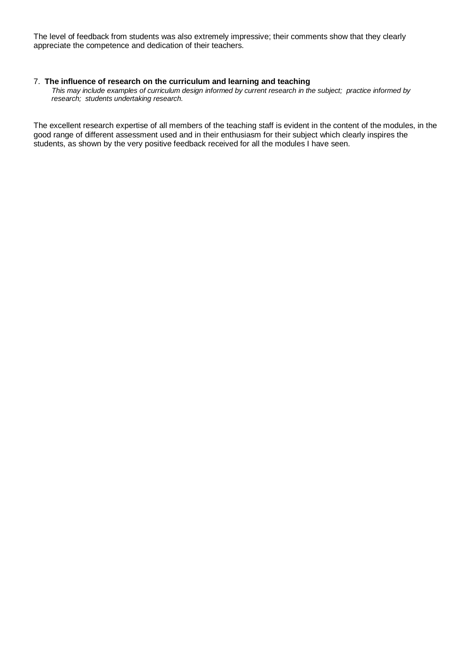The level of feedback from students was also extremely impressive; their comments show that they clearly appreciate the competence and dedication of their teachers.

#### 7.**The influence of research on the curriculum and learning and teaching**

 *This may include examples of curriculum design informed by current research in the subject; practice informed by research; students undertaking research.* 

The excellent research expertise of all members of the teaching staff is evident in the content of the modules, in the good range of different assessment used and in their enthusiasm for their subject which clearly inspires the students, as shown by the very positive feedback received for all the modules I have seen.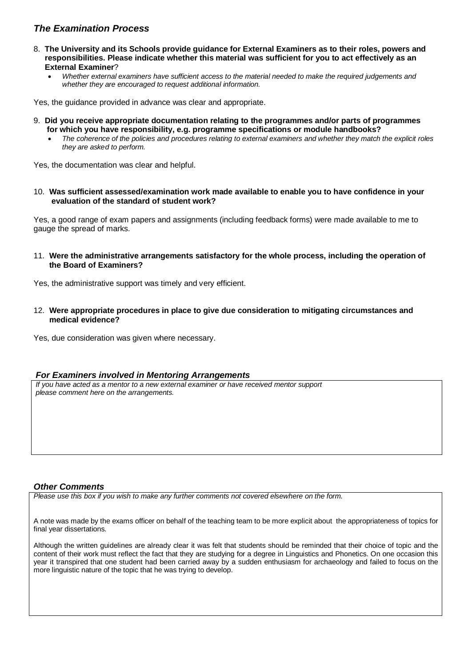### *The Examination Process*

- 8. **The University and its Schools provide guidance for External Examiners as to their roles, powers and responsibilities. Please indicate whether this material was sufficient for you to act effectively as an External Examiner**?
	- *Whether external examiners have sufficient access to the material needed to make the required judgements and whether they are encouraged to request additional information.*

Yes, the guidance provided in advance was clear and appropriate.

- 9. **Did you receive appropriate documentation relating to the programmes and/or parts of programmes for which you have responsibility, e.g. programme specifications or module handbooks?**
	- *The coherence of the policies and procedures relating to external examiners and whether they match the explicit roles they are asked to perform.*

Yes, the documentation was clear and helpful.

10. **Was sufficient assessed/examination work made available to enable you to have confidence in your evaluation of the standard of student work?**

Yes, a good range of exam papers and assignments (including feedback forms) were made available to me to gauge the spread of marks.

11. **Were the administrative arrangements satisfactory for the whole process, including the operation of the Board of Examiners?**

Yes, the administrative support was timely and very efficient.

12. **Were appropriate procedures in place to give due consideration to mitigating circumstances and medical evidence?**

Yes, due consideration was given where necessary.

### *For Examiners involved in Mentoring Arrangements*

*If you have acted as a mentor to a new external examiner or have received mentor support please comment here on the arrangements.*

### *Other Comments*

*Please use this box if you wish to make any further comments not covered elsewhere on the form.*

A note was made by the exams officer on behalf of the teaching team to be more explicit about the appropriateness of topics for final year dissertations.

Although the written guidelines are already clear it was felt that students should be reminded that their choice of topic and the content of their work must reflect the fact that they are studying for a degree in Linguistics and Phonetics. On one occasion this year it transpired that one student had been carried away by a sudden enthusiasm for archaeology and failed to focus on the more linguistic nature of the topic that he was trying to develop.